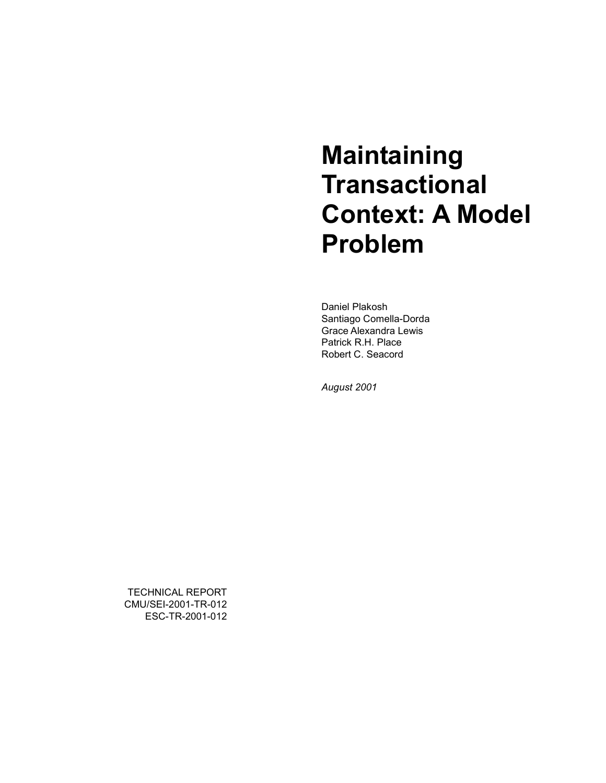# **Maintaining Transactional Context: A Model Problem**

Daniel Plakosh Santiago Comella-Dorda Grace Alexandra Lewis Patrick R.H. Place Robert C. Seacord

*August 2001*

TECHNICAL REPORT CMU/SEI-2001-TR-012 ESC-TR-2001-012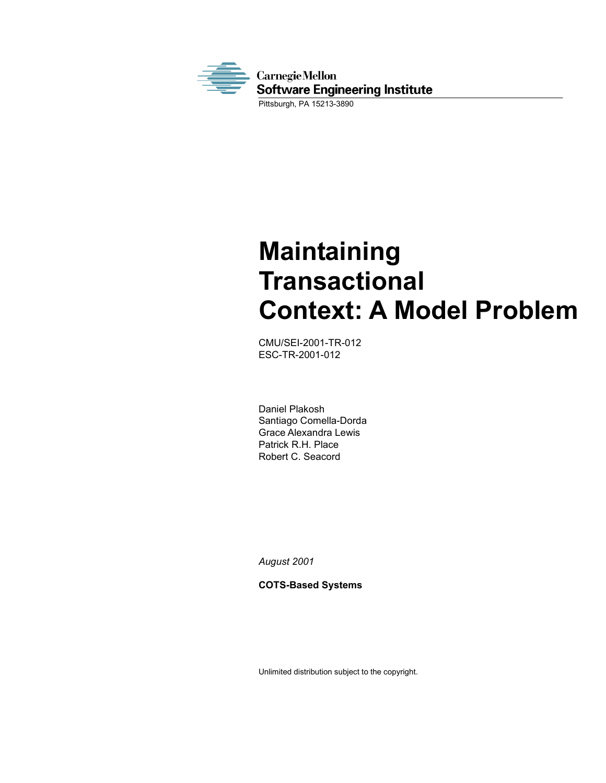

Pittsburgh, PA 15213-3890

# **Maintaining Transactional Context: A Model Problem**

CMU/SEI-2001-TR-012 ESC-TR-2001-012

Daniel Plakosh Santiago Comella-Dorda Grace Alexandra Lewis Patrick R.H. Place Robert C. Seacord

*August 2001*

**COTS-Based Systems**

Unlimited distribution subject to the copyright.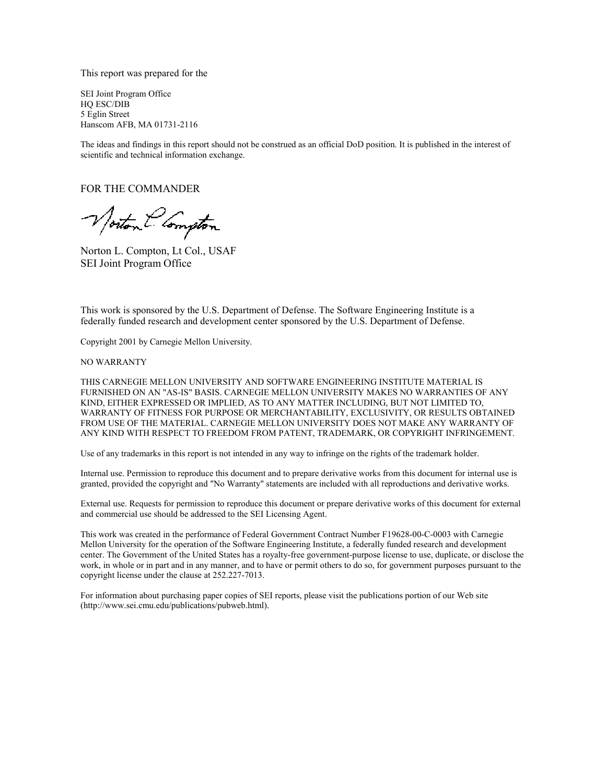This report was prepared for the

SEI Joint Program Office HQ ESC/DIB 5 Eglin Street Hanscom AFB, MA 01731-2116

The ideas and findings in this report should not be construed as an official DoD position. It is published in the interest of scientific and technical information exchange.

FOR THE COMMANDER

Norton & Compton

Norton L. Compton, Lt Col., USAF SEI Joint Program Office

This work is sponsored by the U.S. Department of Defense. The Software Engineering Institute is a federally funded research and development center sponsored by the U.S. Department of Defense.

Copyright 2001 by Carnegie Mellon University.

NO WARRANTY

THIS CARNEGIE MELLON UNIVERSITY AND SOFTWARE ENGINEERING INSTITUTE MATERIAL IS FURNISHED ON AN "AS-IS" BASIS. CARNEGIE MELLON UNIVERSITY MAKES NO WARRANTIES OF ANY KIND, EITHER EXPRESSED OR IMPLIED, AS TO ANY MATTER INCLUDING, BUT NOT LIMITED TO, WARRANTY OF FITNESS FOR PURPOSE OR MERCHANTABILITY, EXCLUSIVITY, OR RESULTS OBTAINED FROM USE OF THE MATERIAL. CARNEGIE MELLON UNIVERSITY DOES NOT MAKE ANY WARRANTY OF ANY KIND WITH RESPECT TO FREEDOM FROM PATENT, TRADEMARK, OR COPYRIGHT INFRINGEMENT.

Use of any trademarks in this report is not intended in any way to infringe on the rights of the trademark holder.

Internal use. Permission to reproduce this document and to prepare derivative works from this document for internal use is granted, provided the copyright and "No Warranty" statements are included with all reproductions and derivative works.

External use. Requests for permission to reproduce this document or prepare derivative works of this document for external and commercial use should be addressed to the SEI Licensing Agent.

This work was created in the performance of Federal Government Contract Number F19628-00-C-0003 with Carnegie Mellon University for the operation of the Software Engineering Institute, a federally funded research and development center. The Government of the United States has a royalty-free government-purpose license to use, duplicate, or disclose the work, in whole or in part and in any manner, and to have or permit others to do so, for government purposes pursuant to the copyright license under the clause at 252.227-7013.

For information about purchasing paper copies of SEI reports, please visit the publications portion of our Web site (http://www.sei.cmu.edu/publications/pubweb.html).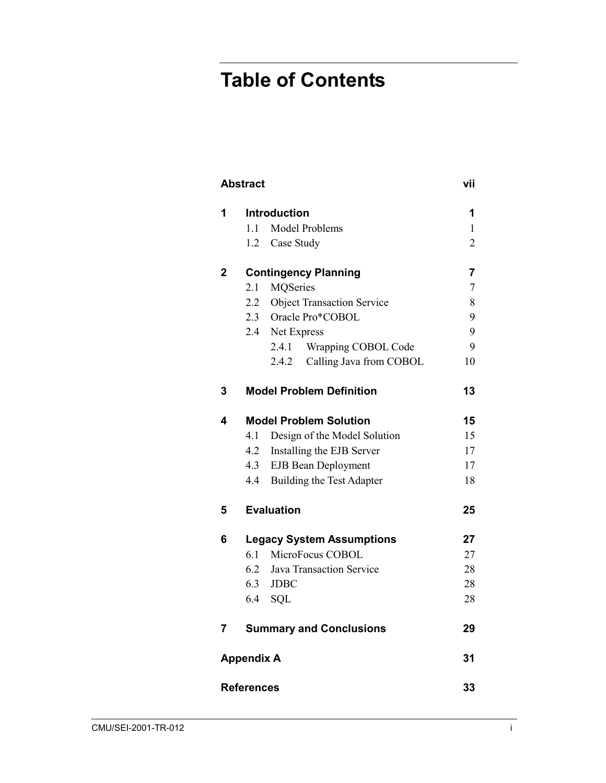# **Table of Contents**

|             | <b>Abstract</b>                |                     |                                   | vii            |
|-------------|--------------------------------|---------------------|-----------------------------------|----------------|
| 1           |                                | <b>Introduction</b> |                                   | 1              |
|             | 1.1                            | Model Problems      | 1                                 |                |
|             | 1.2                            | Case Study          |                                   | $\overline{2}$ |
| $\mathbf 2$ |                                |                     | <b>Contingency Planning</b>       | 7              |
|             | <b>MQSeries</b><br>2.1         |                     |                                   | $\overline{7}$ |
|             | $2.2\,$                        |                     | <b>Object Transaction Service</b> | 8              |
|             | 2.3<br>Oracle Pro*COBOL        |                     | 9                                 |                |
|             |                                | 2.4 Net Express     |                                   | 9              |
|             |                                |                     | 2.4.1 Wrapping COBOL Code         | 9              |
|             |                                |                     | 2.4.2 Calling Java from COBOL     | 10             |
| 3           |                                |                     | <b>Model Problem Definition</b>   | 13             |
| 4           |                                |                     | <b>Model Problem Solution</b>     | 15             |
|             | 4.1                            |                     | Design of the Model Solution      | 15             |
|             | 4.2                            |                     | Installing the EJB Server         | 17             |
|             |                                |                     | 4.3 EJB Bean Deployment           | 17             |
|             | 4.4                            |                     | Building the Test Adapter         | 18             |
| 5           | <b>Evaluation</b>              |                     |                                   | 25             |
| 6           |                                |                     | <b>Legacy System Assumptions</b>  | 27             |
|             | 6.1                            |                     | MicroFocus COBOL                  | 27             |
|             | 6.2                            |                     | <b>Java Transaction Service</b>   | 28             |
|             | 6.3                            | <b>JDBC</b>         |                                   | 28             |
|             |                                | 6.4 SQL             |                                   | 28             |
| 7           | <b>Summary and Conclusions</b> |                     |                                   | 29             |
|             | <b>Appendix A</b>              |                     |                                   | 31             |
|             | <b>References</b>              |                     |                                   | 33             |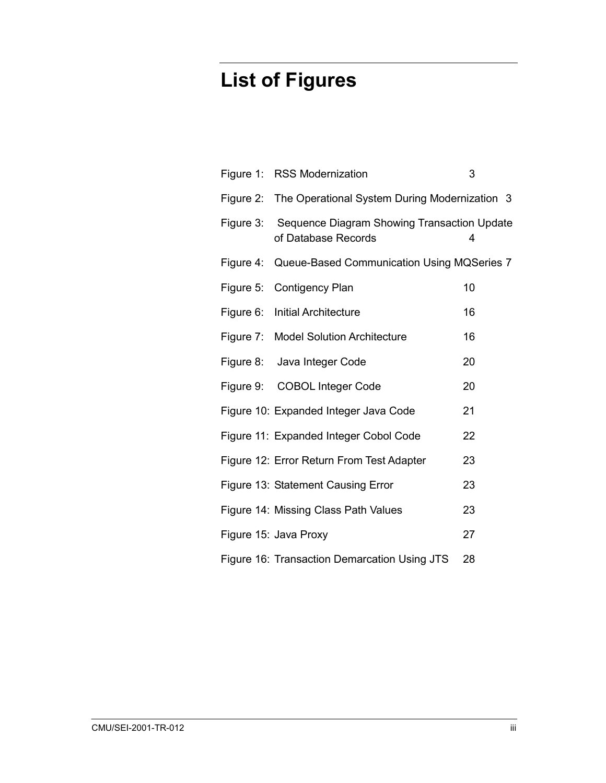# **List of Figures**

|           | Figure 1: RSS Modernization                                                  | 3  |  |
|-----------|------------------------------------------------------------------------------|----|--|
|           | Figure 2: The Operational System During Modernization 3                      |    |  |
|           | Figure 3: Sequence Diagram Showing Transaction Update<br>of Database Records | 4  |  |
| Figure 4: | Queue-Based Communication Using MQSeries 7                                   |    |  |
|           | Figure 5: Contigency Plan                                                    | 10 |  |
|           | Figure 6: Initial Architecture                                               | 16 |  |
|           | Figure 7: Model Solution Architecture                                        | 16 |  |
|           | Figure 8: Java Integer Code                                                  | 20 |  |
|           | Figure 9: COBOL Integer Code                                                 | 20 |  |
|           | Figure 10: Expanded Integer Java Code                                        | 21 |  |
|           | Figure 11: Expanded Integer Cobol Code                                       | 22 |  |
|           | Figure 12: Error Return From Test Adapter                                    | 23 |  |
|           | Figure 13: Statement Causing Error                                           | 23 |  |
|           | Figure 14: Missing Class Path Values                                         | 23 |  |
|           | Figure 15: Java Proxy                                                        | 27 |  |
|           | Figure 16: Transaction Demarcation Using JTS                                 | 28 |  |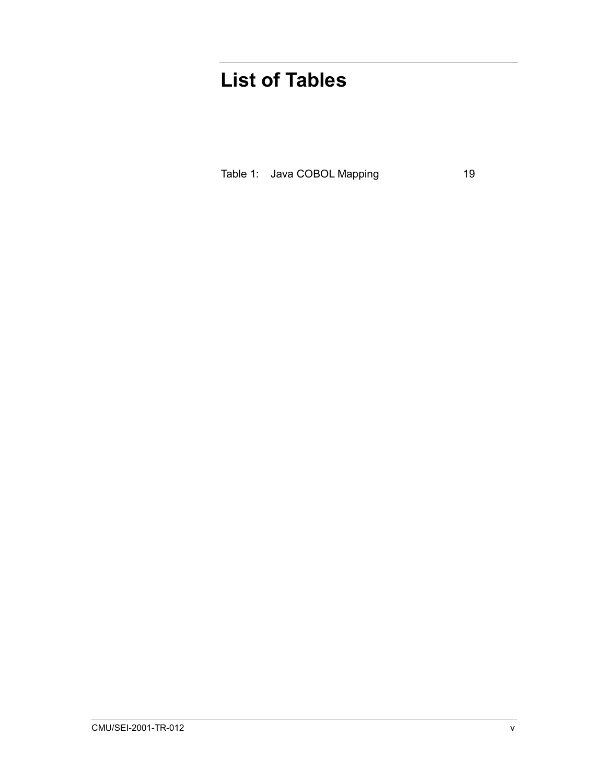# **List of Tables**

[Table 1: Java COBOL Mapping 19](#page-30-0)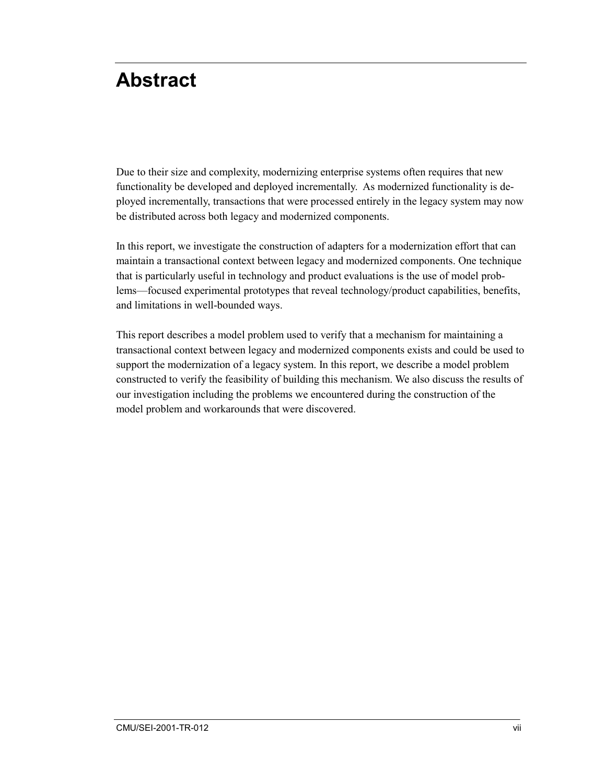# <span id="page-10-0"></span>**Abstract**

Due to their size and complexity, modernizing enterprise systems often requires that new functionality be developed and deployed incrementally. As modernized functionality is deployed incrementally, transactions that were processed entirely in the legacy system may now be distributed across both legacy and modernized components.

In this report, we investigate the construction of adapters for a modernization effort that can maintain a transactional context between legacy and modernized components. One technique that is particularly useful in technology and product evaluations is the use of model problems—focused experimental prototypes that reveal technology/product capabilities, benefits, and limitations in well-bounded ways.

This report describes a model problem used to verify that a mechanism for maintaining a transactional context between legacy and modernized components exists and could be used to support the modernization of a legacy system. In this report, we describe a model problem constructed to verify the feasibility of building this mechanism. We also discuss the results of our investigation including the problems we encountered during the construction of the model problem and workarounds that were discovered.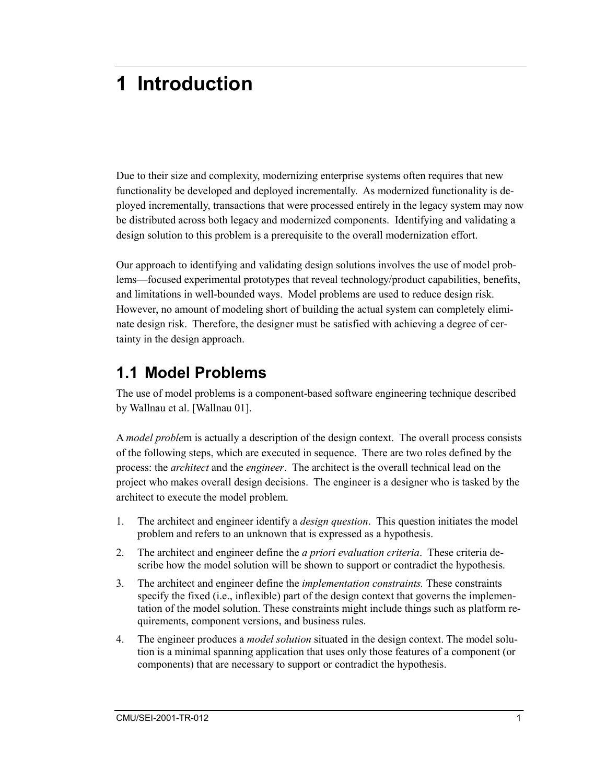# <span id="page-12-0"></span>**1 Introduction**

Due to their size and complexity, modernizing enterprise systems often requires that new functionality be developed and deployed incrementally. As modernized functionality is deployed incrementally, transactions that were processed entirely in the legacy system may now be distributed across both legacy and modernized components. Identifying and validating a design solution to this problem is a prerequisite to the overall modernization effort.

Our approach to identifying and validating design solutions involves the use of model problems—focused experimental prototypes that reveal technology/product capabilities, benefits, and limitations in well-bounded ways. Model problems are used to reduce design risk. However, no amount of modeling short of building the actual system can completely eliminate design risk. Therefore, the designer must be satisfied with achieving a degree of certainty in the design approach.

### <span id="page-12-1"></span>**1.1 Model Problems**

The use of model problems is a component-based software engineering technique described by Wallnau et al. [Wallnau 01].

A *model proble*m is actually a description of the design context. The overall process consists of the following steps, which are executed in sequence. There are two roles defined by the process: the *architect* and the *engineer*. The architect is the overall technical lead on the project who makes overall design decisions. The engineer is a designer who is tasked by the architect to execute the model problem.

- 1. The architect and engineer identify a *design question*. This question initiates the model problem and refers to an unknown that is expressed as a hypothesis.
- 2. The architect and engineer define the *a priori evaluation criteria*. These criteria describe how the model solution will be shown to support or contradict the hypothesis.
- 3. The architect and engineer define the *implementation constraints.* These constraints specify the fixed (i.e., inflexible) part of the design context that governs the implementation of the model solution. These constraints might include things such as platform requirements, component versions, and business rules.
- 4. The engineer produces a *model solution* situated in the design context. The model solution is a minimal spanning application that uses only those features of a component (or components) that are necessary to support or contradict the hypothesis.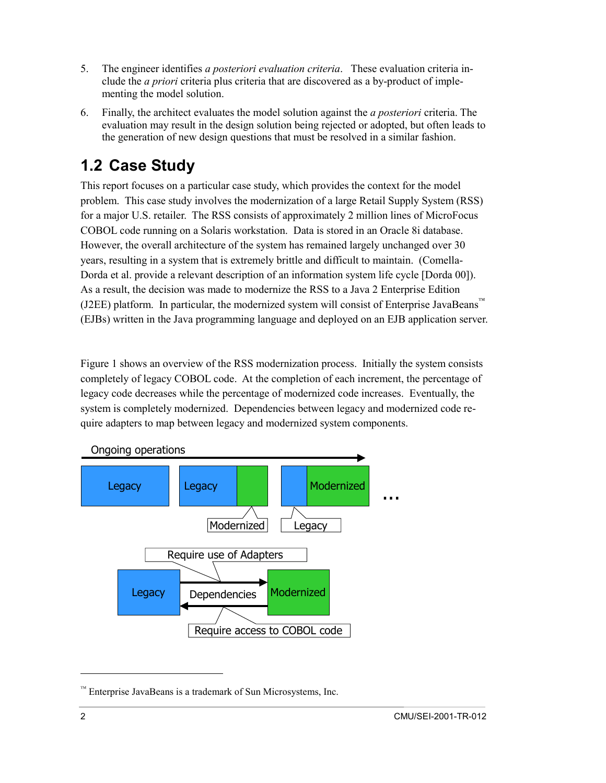- 5. The engineer identifies *a posteriori evaluation criteria*. These evaluation criteria include the *a priori* criteria plus criteria that are discovered as a by-product of implementing the model solution.
- 6. Finally, the architect evaluates the model solution against the *a posteriori* criteria. The evaluation may result in the design solution being rejected or adopted, but often leads to the generation of new design questions that must be resolved in a similar fashion.

### <span id="page-13-0"></span>**1.2 Case Study**

This report focuses on a particular case study, which provides the context for the model problem. This case study involves the modernization of a large Retail Supply System (RSS) for a major U.S. retailer. The RSS consists of approximately 2 million lines of MicroFocus COBOL code running on a Solaris workstation. Data is stored in an Oracle 8i database. However, the overall architecture of the system has remained largely unchanged over 30 years, resulting in a system that is extremely brittle and difficult to maintain. (Comella-Dorda et al. provide a relevant description of an information system life cycle [Dorda 00]). As a result, the decision was made to modernize the RSS to a Java 2 Enterprise Edition (J2EE) platform. In particular, the modernized system will consist of Enterprise JavaBeans (EJBs) written in the Java programming language and deployed on an EJB application server.

Figure 1 shows an overview of the RSS modernization process. Initially the system consists completely of legacy COBOL code. At the completion of each increment, the percentage of legacy code decreases while the percentage of modernized code increases. Eventually, the system is completely modernized. Dependencies between legacy and modernized code require adapters to map between legacy and modernized system components.



Ongoing operations

<span id="page-13-1"></span><u>.</u>

<span id="page-13-2"></span><sup>™</sup> Enterprise JavaBeans is a trademark of Sun Microsystems, Inc.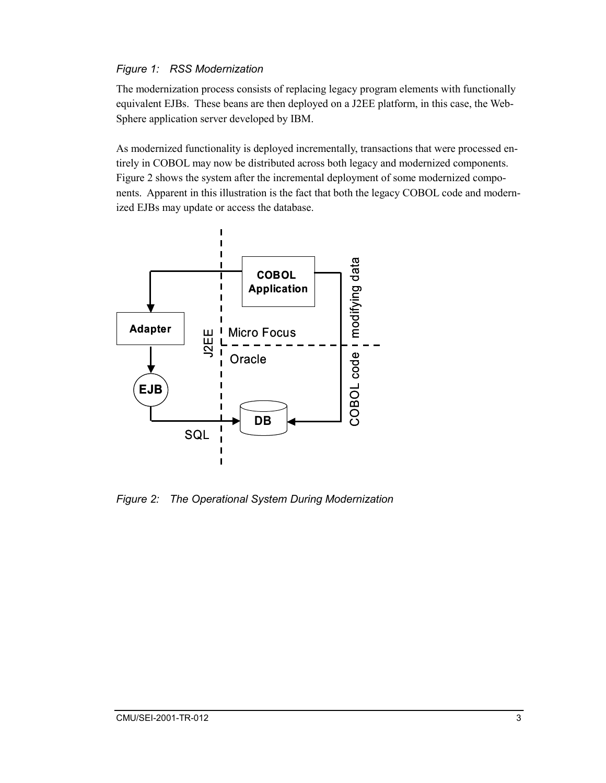#### *Figure 1: RSS Modernization*

The modernization process consists of replacing legacy program elements with functionally equivalent EJBs. These beans are then deployed on a J2EE platform, in this case, the Web-Sphere application server developed by IBM.

As modernized functionality is deployed incrementally, transactions that were processed en[tirely in C](#page-14-0)OBOL may now be distributed across both legacy and modernized components. Figure 2 shows the system after the incremental deployment of some modernized components. Apparent in this illustration is the fact that both the legacy COBOL code and modernized EJBs may update or access the database.

<span id="page-14-0"></span>

*Figure 2: The Operational System During Modernization*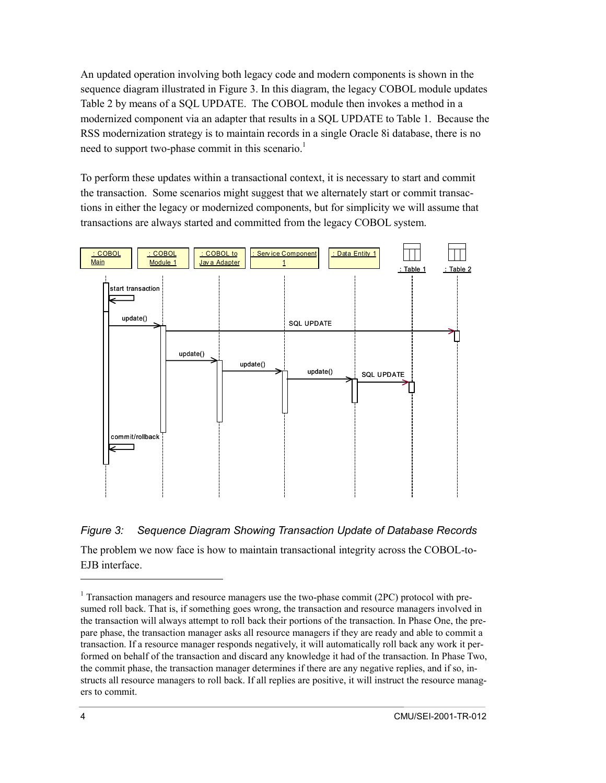An updated operation involving both legacy code and modern components is shown in the sequence diagram illustrated in Figure 3. In this diagram, the legacy COBOL module updates Table 2 by means of a SQL UPDATE. The COBOL module then invokes a method in a modernized component via an adapter that results in a SQL UPDATE to Table 1. Because the RSS modernization strategy is to maintain records in a single Oracle 8i database, there is no need to support two-phase commit in this scenario.<sup>1</sup>

To perform these updates within a transactional context, it is necessary to start and commit the transaction. Some scenarios might suggest that we alternately start or commit transactions in either the legacy or modernized components, but for simplicity we will assume that transactions are always started and committed from the legacy COBOL system.

<span id="page-15-0"></span>



The problem we now face is how to maintain transactional integrity across the COBOL-to-EJB interface.

1

<span id="page-15-1"></span> $1$  Transaction managers and resource managers use the two-phase commit (2PC) protocol with presumed roll back. That is, if something goes wrong, the transaction and resource managers involved in the transaction will always attempt to roll back their portions of the transaction. In Phase One, the prepare phase, the transaction manager asks all resource managers if they are ready and able to commit a transaction. If a resource manager responds negatively, it will automatically roll back any work it performed on behalf of the transaction and discard any knowledge it had of the transaction. In Phase Two, the commit phase, the transaction manager determines if there are any negative replies, and if so, instructs all resource managers to roll back. If all replies are positive, it will instruct the resource managers to commit.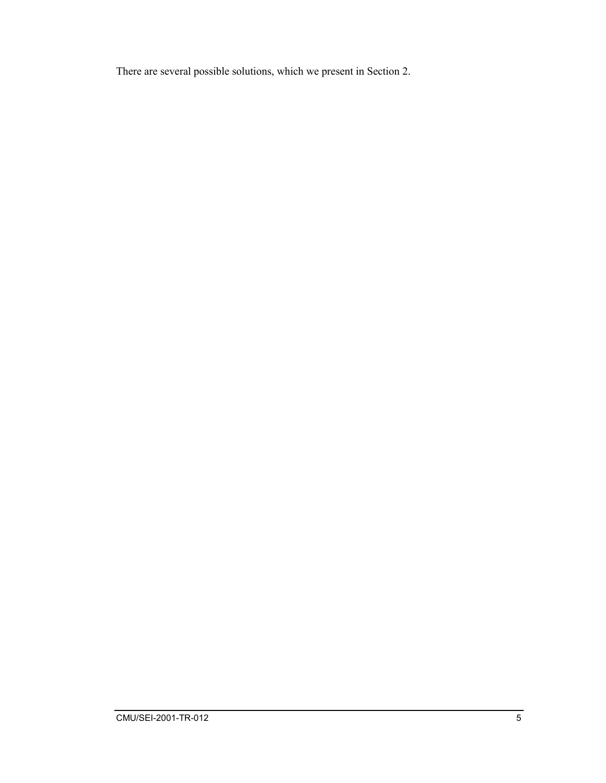There are several possible solutions, which we present in Section [2.](#page-18-0)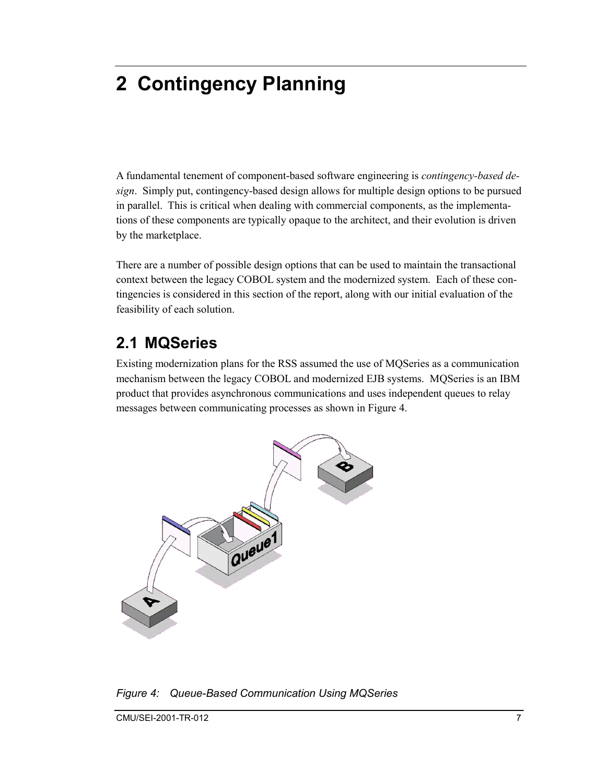# <span id="page-18-0"></span>**2 Contingency Planning**

A fundamental tenement of component-based software engineering is *contingency-based design*. Simply put, contingency-based design allows for multiple design options to be pursued in parallel. This is critical when dealing with commercial components, as the implementations of these components are typically opaque to the architect, and their evolution is driven by the marketplace.

There are a number of possible design options that can be used to maintain the transactional context between the legacy COBOL system and the modernized system. Each of these contingencies is considered in this section of the report, along with our initial evaluation of the feasibility of each solution.

### <span id="page-18-1"></span>**2.1 MQSeries**

Existing modernization plans for the RSS assumed the use of MQSeries as a communication mechanism between the legacy COBOL and modernized EJB systems. MQSeries is an IBM product that provides asynchronous communications and uses independent queues to relay messages between communicating processes as shown in [Figure 4.](#page-18-2)



<span id="page-18-2"></span>*Figure 4: Queue-Based Communication Using MQSeries*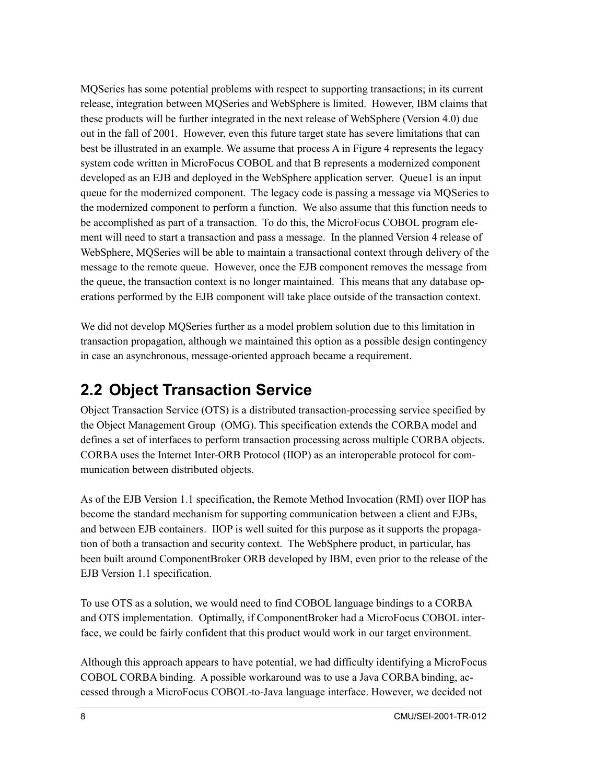MQSeries has some potential problems with respect to supporting transactions; in its current release, integration between MQSeries and WebSphere is limited. However, IBM claims that these products will be further integrated in the next release of WebSphere (Version 4.0) due out in the fall of 2001. However, even this future target state has severe limitations that can best be illustrated in an example. We assume that process A in [Figure 4](#page-18-2) represents the legacy system code written in MicroFocus COBOL and that B represents a modernized component developed as an EJB and deployed in the WebSphere application server. Queue1 is an input queue for the modernized component. The legacy code is passing a message via MQSeries to the modernized component to perform a function. We also assume that this function needs to be accomplished as part of a transaction. To do this, the MicroFocus COBOL program element will need to start a transaction and pass a message. In the planned Version 4 release of WebSphere, MQSeries will be able to maintain a transactional context through delivery of the message to the remote queue. However, once the EJB component removes the message from the queue, the transaction context is no longer maintained. This means that any database operations performed by the EJB component will take place outside of the transaction context.

We did not develop MQSeries further as a model problem solution due to this limitation in transaction propagation, although we maintained this option as a possible design contingency in case an asynchronous, message-oriented approach became a requirement.

### <span id="page-19-0"></span>**2.2 Object Transaction Service**

Object Transaction Service (OTS) is a distributed transaction-processing service specified by the Object Management Group (OMG). This specification extends the CORBA model and defines a set of interfaces to perform transaction processing across multiple CORBA objects. CORBA uses the Internet Inter-ORB Protocol (IIOP) as an interoperable protocol for communication between distributed objects.

As of the EJB Version 1.1 specification, the Remote Method Invocation (RMI) over IIOP has become the standard mechanism for supporting communication between a client and EJBs, and between EJB containers. IIOP is well suited for this purpose as it supports the propagation of both a transaction and security context. The WebSphere product, in particular, has been built around ComponentBroker ORB developed by IBM, even prior to the release of the EJB Version 1.1 specification.

To use OTS as a solution, we would need to find COBOL language bindings to a CORBA and OTS implementation. Optimally, if ComponentBroker had a MicroFocus COBOL interface, we could be fairly confident that this product would work in our target environment.

Although this approach appears to have potential, we had difficulty identifying a MicroFocus COBOL CORBA binding. A possible workaround was to use a Java CORBA binding, accessed through a MicroFocus COBOL-to-Java language interface. However, we decided not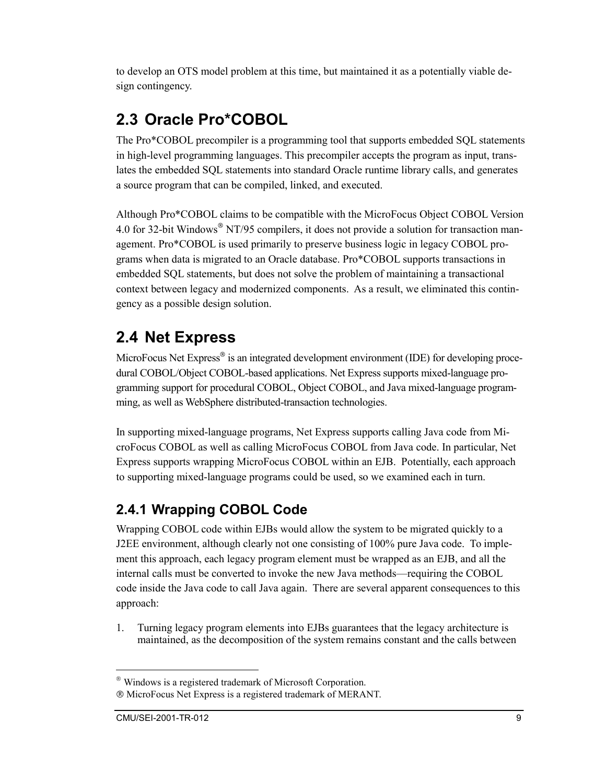to develop an OTS model problem at this time, but maintained it as a potentially viable design contingency.

# <span id="page-20-0"></span>**2.3 Oracle Pro\*COBOL**

The Pro\*COBOL precompiler is a programming tool that supports embedded SQL statements in high-level programming languages. This precompiler accepts the program as input, translates the embedded SQL statements into standard Oracle runtime library calls, and generates a source program that can be compiled, linked, and executed.

Although Pro\*COBOL claims to be compatible with the MicroFocus Object COBOL Version 4.0 for 32-bit Windows® NT/95 compilers, it does not provide a solution for transaction management. Pro\*COBOL is used primarily to preserve business logic in legacy COBOL programs when data is migrated to an Oracle database. Pro\*COBOL supports transactions in embedded SQL statements, but does not solve the problem of maintaining a transactional context between legacy and modernized components. As a result, we eliminated this contingency as a possible design solution.

# <span id="page-20-1"></span>**2.4 Net Express**

MicroFocus Net Express® is an integrated development environment (IDE) for developing procedural COBOL/Object COBOL-based applications. Net Express supports mixed-language programming support for procedural COBOL, Object COBOL, and Java mixed-language programming, as well as WebSphere distributed-transaction technologies.

In supporting mixed-language programs, Net Express supports calling Java code from MicroFocus COBOL as well as calling MicroFocus COBOL from Java code. In particular, Net Express supports wrapping MicroFocus COBOL within an EJB. Potentially, each approach to supporting mixed-language programs could be used, so we examined each in turn.

### <span id="page-20-2"></span>**2.4.1 Wrapping COBOL Code**

Wrapping COBOL code within EJBs would allow the system to be migrated quickly to a J2EE environment, although clearly not one consisting of 100% pure Java code. To implement this approach, each legacy program element must be wrapped as an EJB, and all the internal calls must be converted to invoke the new Java methods—requiring the COBOL code inside the Java code to call Java again. There are several apparent consequences to this approach:

1. Turning legacy program elements into EJBs guarantees that the legacy architecture is maintained, as the decomposition of the system remains constant and the calls between

1

<span id="page-20-3"></span><sup>®</sup> Windows is a registered trademark of Microsoft Corporation.

<span id="page-20-4"></span>MicroFocus Net Express is a registered trademark of MERANT.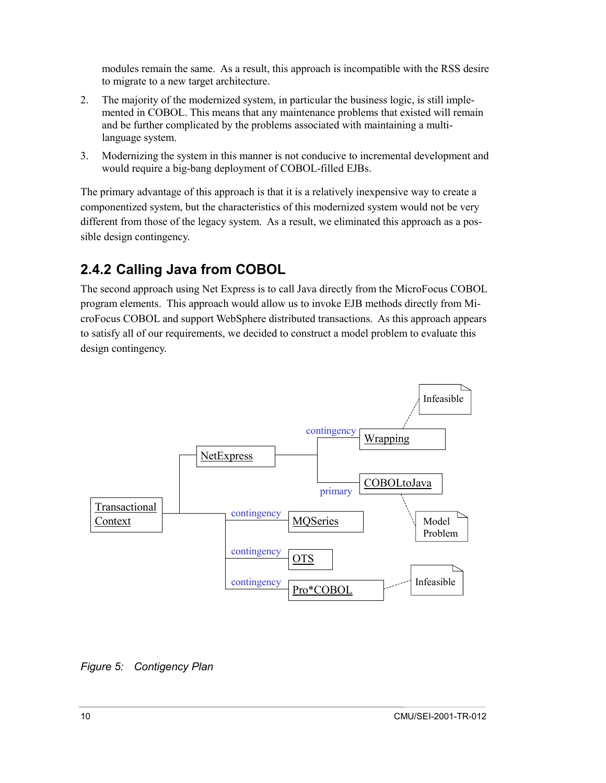modules remain the same. As a result, this approach is incompatible with the RSS desire to migrate to a new target architecture.

- 2. The majority of the modernized system, in particular the business logic, is still implemented in COBOL. This means that any maintenance problems that existed will remain and be further complicated by the problems associated with maintaining a multilanguage system.
- 3. Modernizing the system in this manner is not conducive to incremental development and would require a big-bang deployment of COBOL-filled EJBs.

The primary advantage of this approach is that it is a relatively inexpensive way to create a componentized system, but the characteristics of this modernized system would not be very different from those of the legacy system. As a result, we eliminated this approach as a possible design contingency.

### <span id="page-21-0"></span>**2.4.2 Calling Java from COBOL**

The second approach using Net Express is to call Java directly from the MicroFocus COBOL program elements. This approach would allow us to invoke EJB methods directly from MicroFocus COBOL and support WebSphere distributed transactions. As this approach appears to satisfy all of our requirements, we decided to construct a model problem to evaluate this design contingency.

<span id="page-21-1"></span>

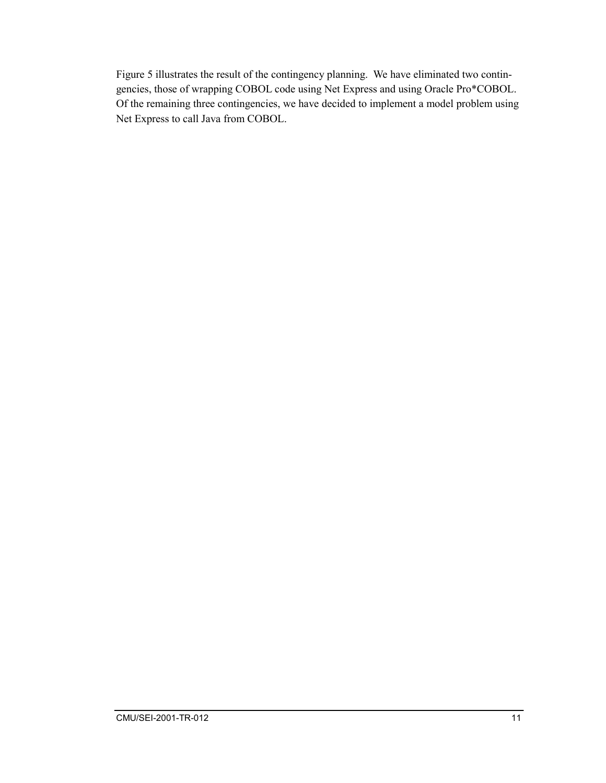[Figure 5](#page-21-1) illustrates the result of the contingency planning. We have eliminated two contingencies, those of wrapping COBOL code using Net Express and using Oracle Pro\*COBOL. Of the remaining three contingencies, we have decided to implement a model problem using Net Express to call Java from COBOL.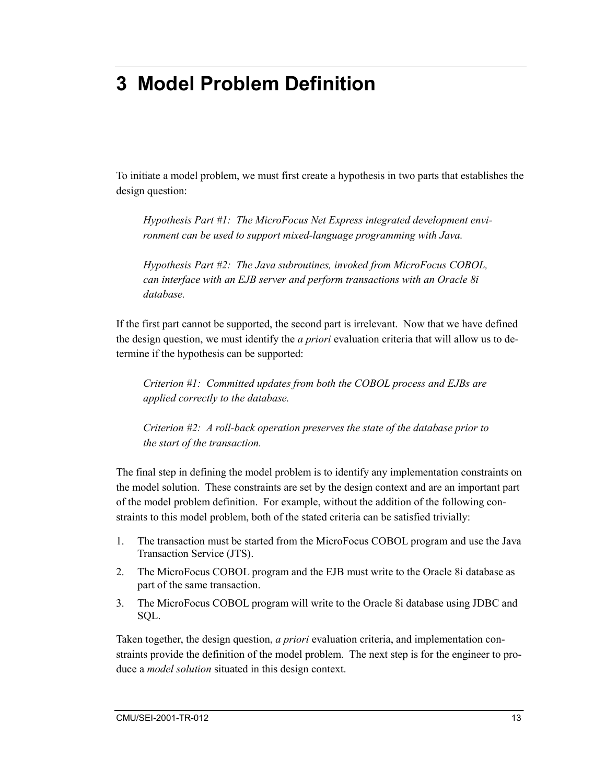# <span id="page-24-0"></span>**3 Model Problem Definition**

To initiate a model problem, we must first create a hypothesis in two parts that establishes the design question:

*Hypothesis Part #1: The MicroFocus Net Express integrated development environment can be used to support mixed-language programming with Java.*

*Hypothesis Part #2: The Java subroutines, invoked from MicroFocus COBOL, can interface with an EJB server and perform transactions with an Oracle 8i database.* 

If the first part cannot be supported, the second part is irrelevant. Now that we have defined the design question, we must identify the *a priori* evaluation criteria that will allow us to determine if the hypothesis can be supported:

*Criterion #1: Committed updates from both the COBOL process and EJBs are applied correctly to the database.*

*Criterion #2: A roll-back operation preserves the state of the database prior to the start of the transaction.*

The final step in defining the model problem is to identify any implementation constraints on the model solution. These constraints are set by the design context and are an important part of the model problem definition. For example, without the addition of the following constraints to this model problem, both of the stated criteria can be satisfied trivially:

- 1. The transaction must be started from the MicroFocus COBOL program and use the Java Transaction Service (JTS).
- 2. The MicroFocus COBOL program and the EJB must write to the Oracle 8i database as part of the same transaction.
- 3. The MicroFocus COBOL program will write to the Oracle 8i database using JDBC and SQL.

Taken together, the design question, *a priori* evaluation criteria, and implementation constraints provide the definition of the model problem. The next step is for the engineer to produce a *model solution* situated in this design context.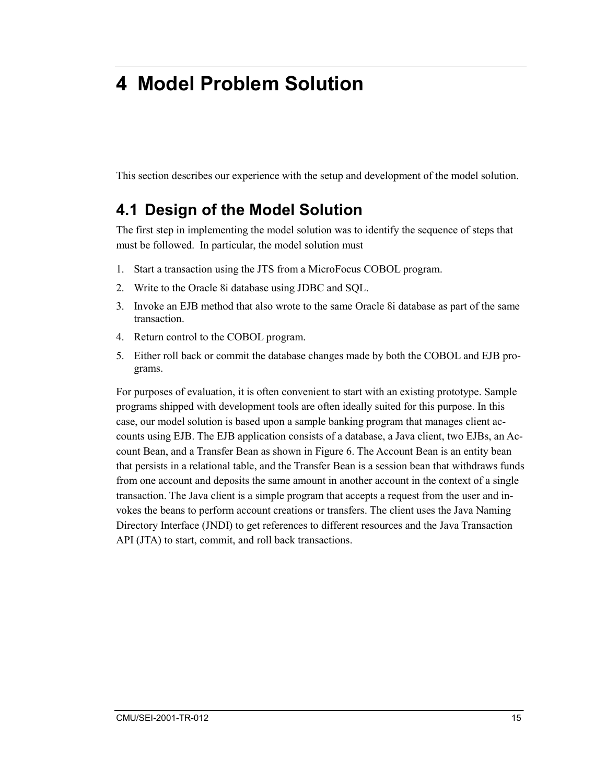# <span id="page-26-0"></span>**4 Model Problem Solution**

This section describes our experience with the setup and development of the model solution.

### <span id="page-26-1"></span>**4.1 Design of the Model Solution**

The first step in implementing the model solution was to identify the sequence of steps that must be followed. In particular, the model solution must

- 1. Start a transaction using the JTS from a MicroFocus COBOL program.
- 2. Write to the Oracle 8i database using JDBC and SQL.
- 3. Invoke an EJB method that also wrote to the same Oracle 8i database as part of the same transaction.
- 4. Return control to the COBOL program.
- 5. Either roll back or commit the database changes made by both the COBOL and EJB programs.

For purposes of evaluation, it is often convenient to start with an existing prototype. Sample programs shipped with development tools are often ideally suited for this purpose. In this case, our model solution is based upon a sample banking program that manages client accounts using EJB. The EJB application consists of a database, a Java client, two EJBs, an Account Bean, and a Transfer Bean as shown in [Figure 6.](#page-27-0) The Account Bean is an entity bean that persists in a relational table, and the Transfer Bean is a session bean that withdraws funds from one account and deposits the same amount in another account in the context of a single transaction. The Java client is a simple program that accepts a request from the user and invokes the beans to perform account creations or transfers. The client uses the Java Naming Directory Interface (JNDI) to get references to different resources and the Java Transaction API (JTA) to start, commit, and roll back transactions.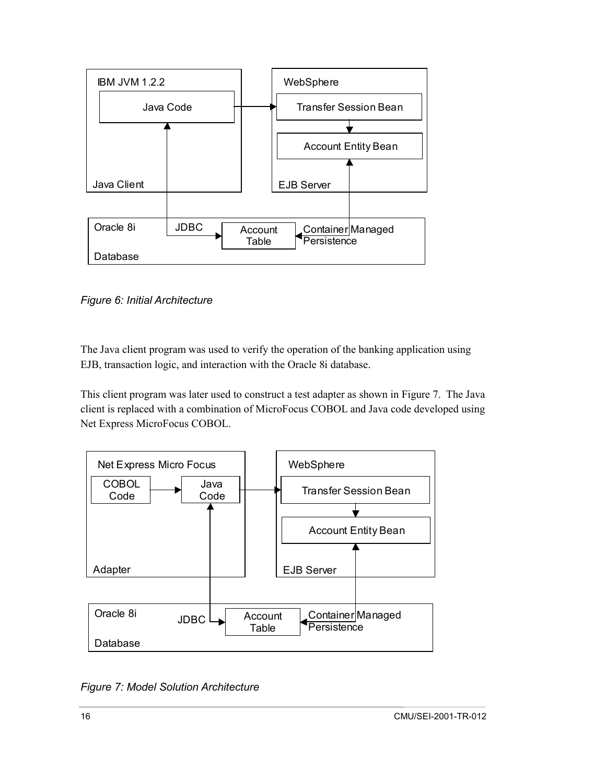<span id="page-27-0"></span>

*Figure 6: Initial Architecture*

The Java client program was used to verify the operation of the banking application using EJB, transaction logic, and interaction with the Oracle 8i database.

This client program was later used to construct a test adapter as shown in [Figure 7.](#page-27-1) The Java client is replaced with a combination of MicroFocus COBOL and Java code developed using Net Express MicroFocus COBOL.

<span id="page-27-1"></span>

*Figure 7: Model Solution Architecture*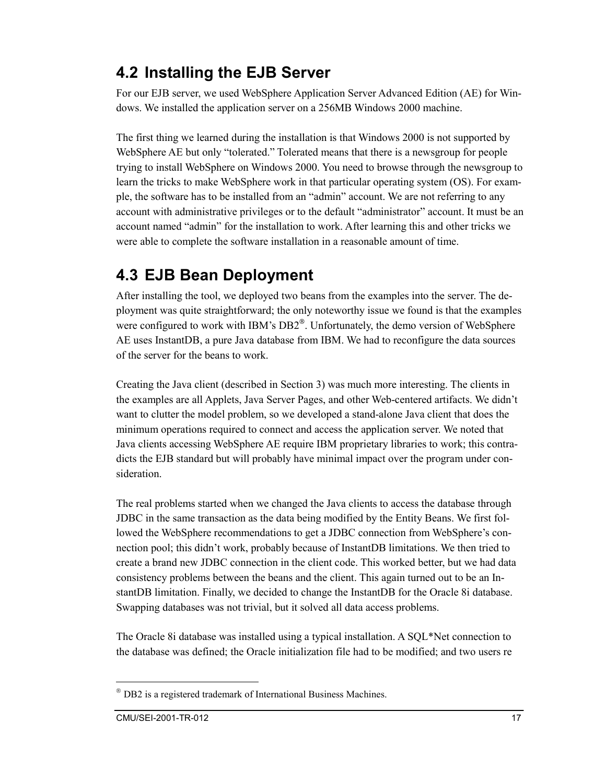## <span id="page-28-0"></span>**4.2 Installing the EJB Server**

For our EJB server, we used WebSphere Application Server Advanced Edition (AE) for Windows. We installed the application server on a 256MB Windows 2000 machine.

The first thing we learned during the installation is that Windows 2000 is not supported by WebSphere AE but only "tolerated." Tolerated means that there is a newsgroup for people trying to install WebSphere on Windows 2000. You need to browse through the newsgroup to learn the tricks to make WebSphere work in that particular operating system (OS). For example, the software has to be installed from an "admin" account. We are not referring to any account with administrative privileges or to the default "administrator" account. It must be an account named "admin" for the installation to work. After learning this and other tricks we were able to complete the software installation in a reasonable amount of time.

# <span id="page-28-1"></span>**4.3 EJB Bean Deployment**

After installing the tool, we deployed two beans from the examples into the server. The deployment was quite straightforward; the only noteworthy issue we found is that the examples were configured to work with IBM's DB2®. Unfortunately, the demo version of WebSphere AE uses InstantDB, a pure Java database from IBM. We had to reconfigure the data sources of the server for the beans to work.

Creating the Java client (described in Section [3\)](#page-24-0) was much more interesting. The clients in the examples are all Applets, Java Server Pages, and other Web-centered artifacts. We didnít want to clutter the model problem, so we developed a stand-alone Java client that does the minimum operations required to connect and access the application server. We noted that Java clients accessing WebSphere AE require IBM proprietary libraries to work; this contradicts the EJB standard but will probably have minimal impact over the program under consideration.

The real problems started when we changed the Java clients to access the database through JDBC in the same transaction as the data being modified by the Entity Beans. We first followed the WebSphere recommendations to get a JDBC connection from WebSphere's connection pool; this didn't work, probably because of InstantDB limitations. We then tried to create a brand new JDBC connection in the client code. This worked better, but we had data consistency problems between the beans and the client. This again turned out to be an InstantDB limitation. Finally, we decided to change the InstantDB for the Oracle 8i database. Swapping databases was not trivial, but it solved all data access problems.

The Oracle 8i database was installed using a typical installation. A SQL\*Net connection to the database was defined; the Oracle initialization file had to be modified; and two users re

1

<span id="page-28-2"></span><sup>&</sup>lt;sup>®</sup> DB2 is a registered trademark of International Business Machines.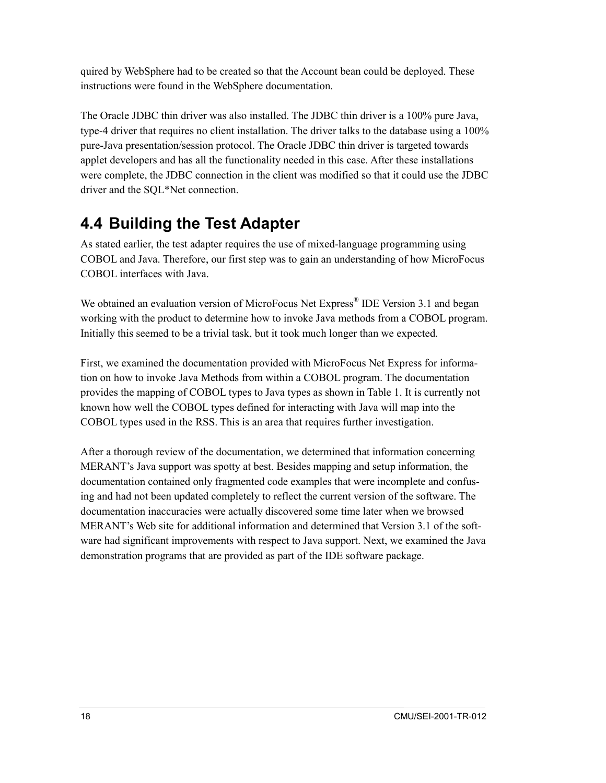quired by WebSphere had to be created so that the Account bean could be deployed. These instructions were found in the WebSphere documentation.

The Oracle JDBC thin driver was also installed. The JDBC thin driver is a 100% pure Java, type-4 driver that requires no client installation. The driver talks to the database using a 100% pure-Java presentation/session protocol. The Oracle JDBC thin driver is targeted towards applet developers and has all the functionality needed in this case. After these installations were complete, the JDBC connection in the client was modified so that it could use the JDBC driver and the SQL\*Net connection.

# <span id="page-29-0"></span>**4.4 Building the Test Adapter**

As stated earlier, the test adapter requires the use of mixed-language programming using COBOL and Java. Therefore, our first step was to gain an understanding of how MicroFocus COBOL interfaces with Java.

We obtained an evaluation version of MicroFocus Net Express<sup>®</sup> IDE Version 3.1 and began working with the product to determine how to invoke Java methods from a COBOL program. Initially this seemed to be a trivial task, but it took much longer than we expected.

First, we examined the documentation provided with MicroFocus Net Express for information on how to invoke Java Methods from within a COBOL program. The documentation provides the mapping of COBOL types to Java types as shown in Table 1. It is currently not known how well the COBOL types defined for interacting with Java will map into the COBOL types used in the RSS. This is an area that requires further investigation.

After a thorough review of the documentation, we determined that information concerning MERANT's Java support was spotty at best. Besides mapping and setup information, the documentation contained only fragmented code examples that were incomplete and confusing and had not been updated completely to reflect the current version of the software. The documentation inaccuracies were actually discovered some time later when we browsed MERANT's Web site for additional information and determined that Version 3.1 of the software had significant improvements with respect to Java support. Next, we examined the Java demonstration programs that are provided as part of the IDE software package.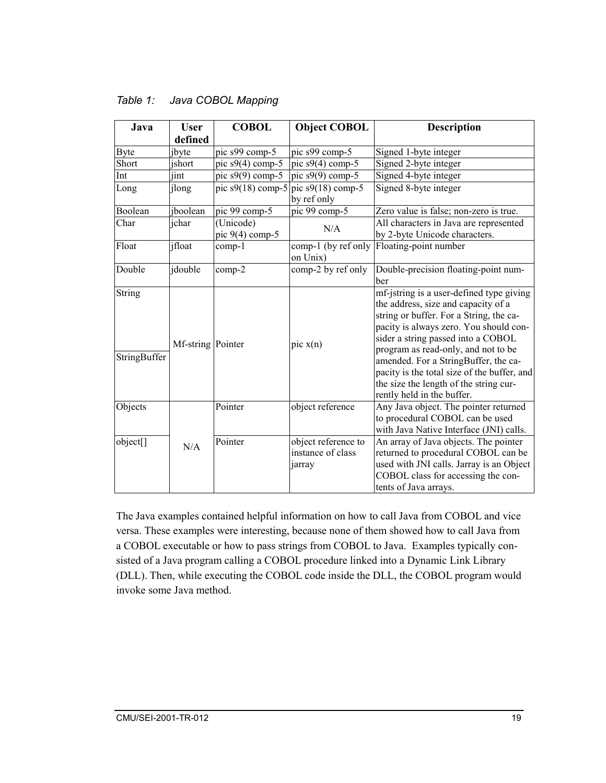| Java                          | <b>User</b>       | <b>COBOL</b>                   | <b>Object COBOL</b>                                    | <b>Description</b>                                                                                                                                                                                                                                                                                                                                                                                               |
|-------------------------------|-------------------|--------------------------------|--------------------------------------------------------|------------------------------------------------------------------------------------------------------------------------------------------------------------------------------------------------------------------------------------------------------------------------------------------------------------------------------------------------------------------------------------------------------------------|
|                               | defined           |                                |                                                        |                                                                                                                                                                                                                                                                                                                                                                                                                  |
| <b>Byte</b>                   | jbyte             | pic s99 comp-5                 | pic s99 comp-5                                         | Signed 1-byte integer                                                                                                                                                                                                                                                                                                                                                                                            |
| Short                         | ishort            | pic $s9(4)$ comp-5             | pic $s9(4)$ comp-5                                     | Signed 2-byte integer                                                                                                                                                                                                                                                                                                                                                                                            |
| Int                           | jint              | pic $s9(9)$ comp-5             | pic $s9(9)$ comp-5                                     | Signed 4-byte integer                                                                                                                                                                                                                                                                                                                                                                                            |
| Long                          | jlong             |                                | pic $s9(18)$ comp-5 pic $s9(18)$ comp-5<br>by ref only | Signed 8-byte integer                                                                                                                                                                                                                                                                                                                                                                                            |
| Boolean                       | iboolean          | pic 99 comp-5                  | pic 99 comp-5                                          | Zero value is false; non-zero is true.                                                                                                                                                                                                                                                                                                                                                                           |
| Char                          | jchar             | (Unicode)<br>pic $9(4)$ comp-5 | N/A                                                    | All characters in Java are represented<br>by 2-byte Unicode characters.                                                                                                                                                                                                                                                                                                                                          |
| Float                         | ifloat            | comp-1                         | comp-1 (by ref only<br>on Unix)                        | Floating-point number                                                                                                                                                                                                                                                                                                                                                                                            |
| Double                        | jdouble           | comp-2                         | comp-2 by ref only                                     | Double-precision floating-point num-<br>ber                                                                                                                                                                                                                                                                                                                                                                      |
| <b>String</b><br>StringBuffer | Mf-string Pointer |                                | pic x(n)                                               | mf-jstring is a user-defined type giving<br>the address, size and capacity of a<br>string or buffer. For a String, the ca-<br>pacity is always zero. You should con-<br>sider a string passed into a COBOL<br>program as read-only, and not to be<br>amended. For a StringBuffer, the ca-<br>pacity is the total size of the buffer, and<br>the size the length of the string cur-<br>rently held in the buffer. |
| Objects                       |                   | Pointer                        | object reference                                       | Any Java object. The pointer returned<br>to procedural COBOL can be used<br>with Java Native Interface (JNI) calls.                                                                                                                                                                                                                                                                                              |
| object[]                      | N/A               | Pointer                        | object reference to<br>instance of class<br>jarray     | An array of Java objects. The pointer<br>returned to procedural COBOL can be<br>used with JNI calls. Jarray is an Object<br>COBOL class for accessing the con-<br>tents of Java arrays.                                                                                                                                                                                                                          |

<span id="page-30-0"></span>

| Table 1: | Java COBOL Mapping |  |
|----------|--------------------|--|
|----------|--------------------|--|

The Java examples contained helpful information on how to call Java from COBOL and vice versa. These examples were interesting, because none of them showed how to call Java from a COBOL executable or how to pass strings from COBOL to Java. Examples typically consisted of a Java program calling a COBOL procedure linked into a Dynamic Link Library (DLL). Then, while executing the COBOL code inside the DLL, the COBOL program would invoke some Java method.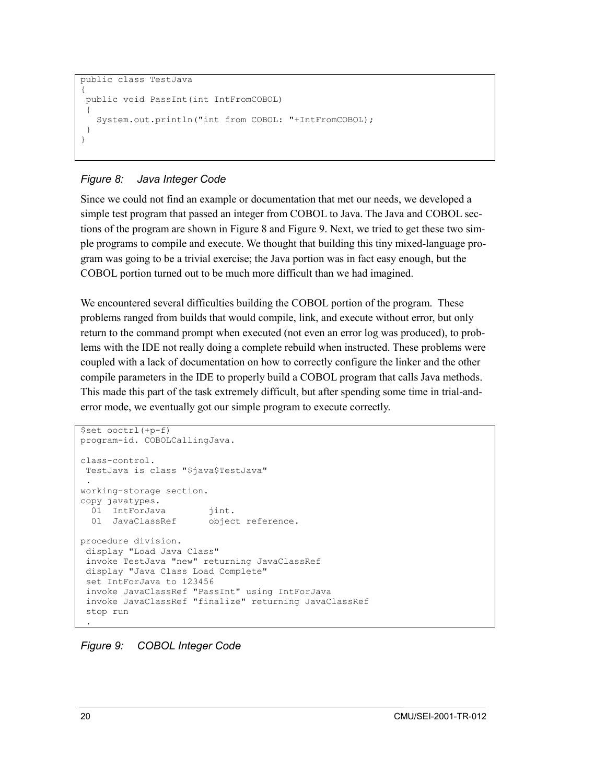```
public class TestJava
{
 public void PassInt(int IntFromCOBOL)
 \left\{ \right. System.out.println("int from COBOL: "+IntFromCOBOL);
  }
}
```
#### <span id="page-31-0"></span>*Figure 8: Java Integer Code*

Since we could not find an example or documentation that met our needs, we developed a simple test program that passed an integer from COBOL to Java. The Java and COBOL sections of the program are shown in [Figure 8](#page-31-0) and [Figure 9.](#page-31-1) Next, we tried to get these two simple programs to compile and execute. We thought that building this tiny mixed-language program was going to be a trivial exercise; the Java portion was in fact easy enough, but the COBOL portion turned out to be much more difficult than we had imagined.

We encountered several difficulties building the COBOL portion of the program. These problems ranged from builds that would compile, link, and execute without error, but only return to the command prompt when executed (not even an error log was produced), to problems with the IDE not really doing a complete rebuild when instructed. These problems were coupled with a lack of documentation on how to correctly configure the linker and the other compile parameters in the IDE to properly build a COBOL program that calls Java methods. This made this part of the task extremely difficult, but after spending some time in trial-anderror mode, we eventually got our simple program to execute correctly.

```
$set ooctrl(+p-f)
program-id. COBOLCallingJava.
class-control.
 TestJava is class "$java$TestJava"
 .
working-storage section.
copy javatypes.
  01 IntForJava   jint.<br>01 JavaClassRef   object reference.
  01 JavaClassRef
procedure division.
 display "Load Java Class"
 invoke TestJava "new" returning JavaClassRef
 display "Java Class Load Complete"
 set IntForJava to 123456
  invoke JavaClassRef "PassInt" using IntForJava
  invoke JavaClassRef "finalize" returning JavaClassRef
  stop run
 .
```
<span id="page-31-1"></span>*Figure 9: COBOL Integer Code*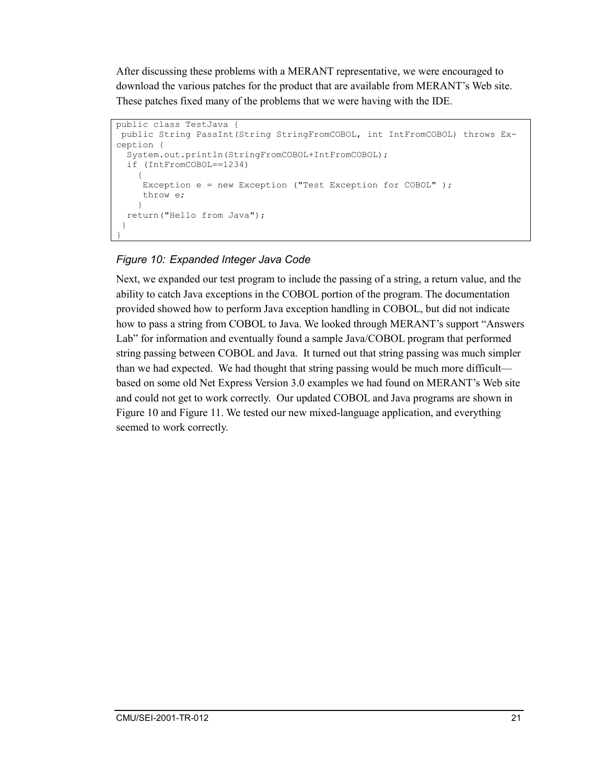After discussing these problems with a MERANT representative, we were encouraged to download the various patches for the product that are available from MERANT's Web site. These patches fixed many of the problems that we were having with the IDE.

```
public class TestJava {
 public String PassInt(String StringFromCOBOL, int IntFromCOBOL) throws Ex-
ception {
   System.out.println(StringFromCOBOL+IntFromCOBOL);
   if (IntFromCOBOL==1234)
     {
      Exception e = new Exception ("Test Exception for COBOL" );
      throw e;
     }
   return("Hello from Java");
  }
}
```
#### <span id="page-32-0"></span>*Figure 10: Expanded Integer Java Code*

Next, we expanded our test program to include the passing of a string, a return value, and the ability to catch Java exceptions in the COBOL portion of the program. The documentation provided showed how to perform Java exception handling in COBOL, but did not indicate how to pass a string from COBOL to Java. We looked through MERANT's support "Answers" Lab" for information and eventually found a sample Java/COBOL program that performed string passing between COBOL and Java. It turned out that string passing was much simpler than we had expected. We had thought that string passing would be much more difficult based on some old Net Express Version 3.0 examples we had found on MERANT's Web site and could not get to work correctly. Our updated COBOL and Java programs are shown in [Figure 10](#page-32-0) and [Figure 11.](#page-33-0) We tested our new mixed-language application, and everything seemed to work correctly.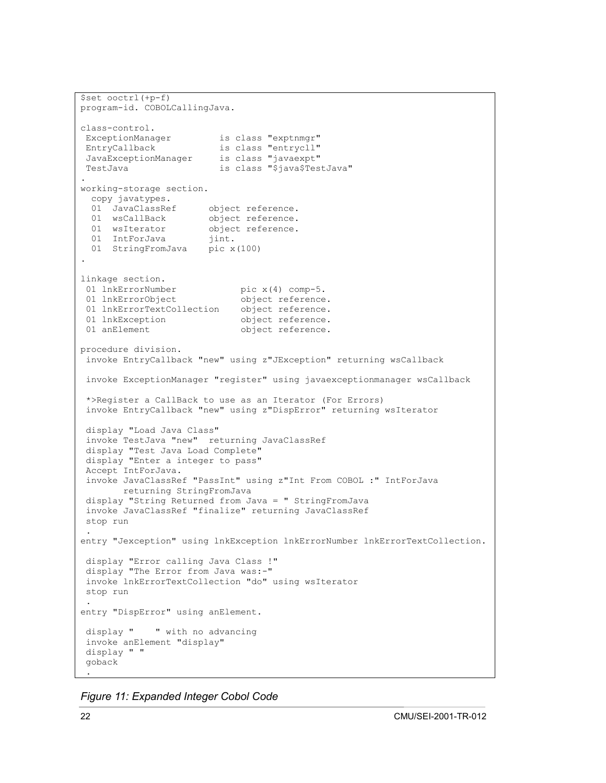```
$set ooctrl(+p-f)
program-id. COBOLCallingJava.
class-control.
ExceptionManager is class "exptnmgr"<br>EntryCallback is class "entrycll"
EntryCallback
 JavaExceptionManager is class "javaexpt"
 TestJava is class "$java$TestJava"
.
working-storage section.
  copy javatypes.
  01 JavaClassRef object reference.<br>01 wsCallPack
 01 wsCallBack object reference.<br>01 wsIterator object reference.
                       object reference.<br>jint.
 01 IntForJava
  01 StringFromJava pic x(100)
.
linkage section.
01 lnkErrorNumber pic x(4) comp-5.
01 lnkErrorObject object reference.
 01 lnkErrorTextCollection object reference.
01 lnkException object reference.
01 anElement object reference.
procedure division.
 invoke EntryCallback "new" using z"JException" returning wsCallback
 invoke ExceptionManager "register" using javaexceptionmanager wsCallback
  *>Register a CallBack to use as an Iterator (For Errors)
 invoke EntryCallback "new" using z"DispError" returning wsIterator
 display "Load Java Class"
 invoke TestJava "new" returning JavaClassRef
 display "Test Java Load Complete"
 display "Enter a integer to pass"
 Accept IntForJava.
 invoke JavaClassRef "PassInt" using z"Int From COBOL :" IntForJava
        returning StringFromJava
 display "String Returned from Java = " StringFromJava
 invoke JavaClassRef "finalize" returning JavaClassRef
 stop run
 .
entry "Jexception" using lnkException lnkErrorNumber lnkErrorTextCollection.
 display "Error calling Java Class !"
 display "The Error from Java was:-"
 invoke lnkErrorTextCollection "do" using wsIterator
 stop run
 .
entry "DispError" using anElement.
 display " " with no advancing
 invoke anElement "display"
 display " "
 goback
 .
```
<span id="page-33-0"></span>*Figure 11: Expanded Integer Cobol Code*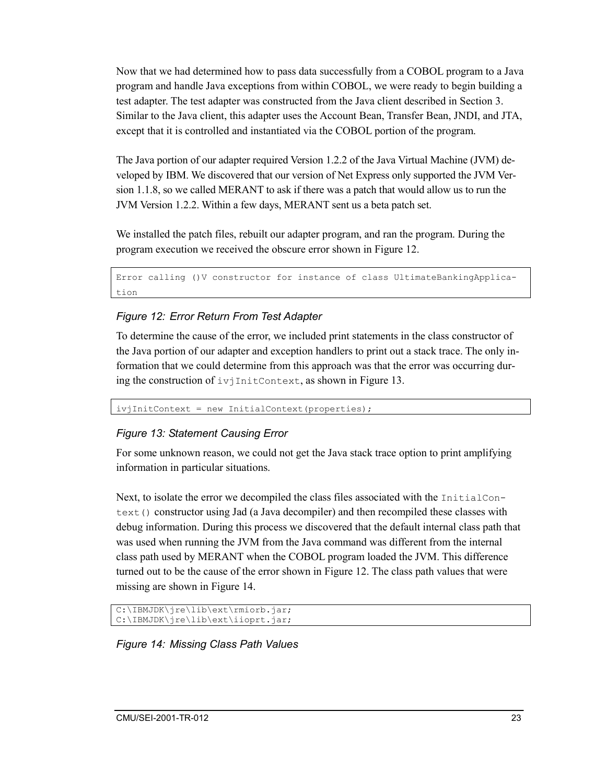Now that we had determined how to pass data successfully from a COBOL program to a Java program and handle Java exceptions from within COBOL, we were ready to begin building a test adapter. The test adapter was constructed from the Java client described in Section [3.](#page-24-0) Similar to the Java client, this adapter uses the Account Bean, Transfer Bean, JNDI, and JTA, except that it is controlled and instantiated via the COBOL portion of the program.

The Java portion of our adapter required Version 1.2.2 of the Java Virtual Machine (JVM) developed by IBM. We discovered that our version of Net Express only supported the JVM Version 1.1.8, so we called MERANT to ask if there was a patch that would allow us to run the JVM Version 1.2.2. Within a few days, MERANT sent us a beta patch set.

We installed the patch files, rebuilt our adapter program, and ran the program. During the program execution we received the obscure error shown in [Figure 12.](#page-34-0)

```
Error calling ()V constructor for instance of class UltimateBankingApplica-
tion
```
#### <span id="page-34-0"></span>*Figure 12: Error Return From Test Adapter*

To determine the cause of the error, we included print statements in the class constructor of the Java portion of our adapter and exception handlers to print out a stack trace. The only information that we could determine from this approach was that the error was occurring during the construction of ivjInitContext, as shown in [Figure 13.](#page-34-1)

ivjInitContext = new InitialContext(properties);

#### <span id="page-34-1"></span>*Figure 13: Statement Causing Error*

For some unknown reason, we could not get the Java stack trace option to print amplifying information in particular situations.

Next, to isolate the error we decompiled the class files associated with the InitialContext() constructor using Jad (a Java decompiler) and then recompiled these classes with debug information. During this process we discovered that the default internal class path that was used when running the JVM from the Java command was different from the internal class path used by MERANT when the COBOL program loaded the JVM. This difference turned out to be the cause of the error shown in [Figure 12.](#page-34-0) The class path values that were missing are shown in [Figure 14.](#page-34-2)

```
C:\IBMJDK\jre\lib\ext\rmiorb.jar;
C:\IBMJDK\jre\lib\ext\iioprt.jar;
```
#### <span id="page-34-2"></span>*Figure 14: Missing Class Path Values*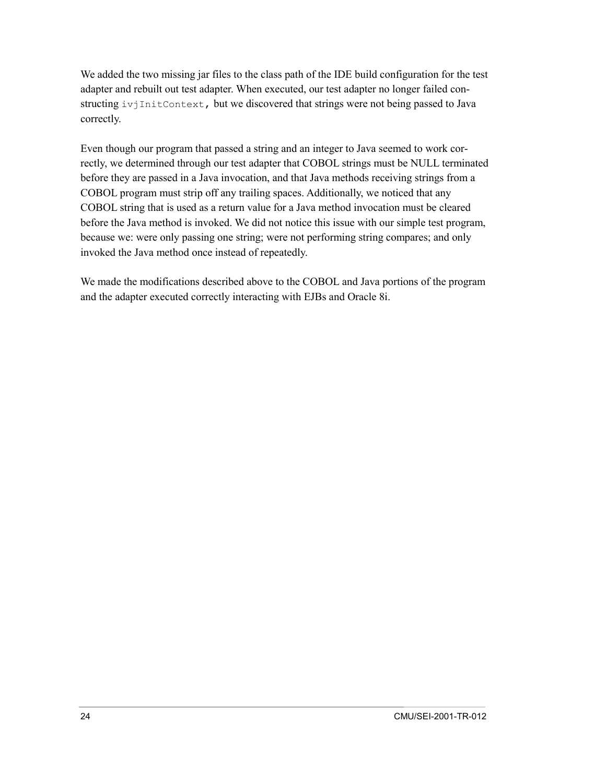We added the two missing jar files to the class path of the IDE build configuration for the test adapter and rebuilt out test adapter. When executed, our test adapter no longer failed constructing ivjInitContext, but we discovered that strings were not being passed to Java correctly.

Even though our program that passed a string and an integer to Java seemed to work correctly, we determined through our test adapter that COBOL strings must be NULL terminated before they are passed in a Java invocation, and that Java methods receiving strings from a COBOL program must strip off any trailing spaces. Additionally, we noticed that any COBOL string that is used as a return value for a Java method invocation must be cleared before the Java method is invoked. We did not notice this issue with our simple test program, because we: were only passing one string; were not performing string compares; and only invoked the Java method once instead of repeatedly.

We made the modifications described above to the COBOL and Java portions of the program and the adapter executed correctly interacting with EJBs and Oracle 8i.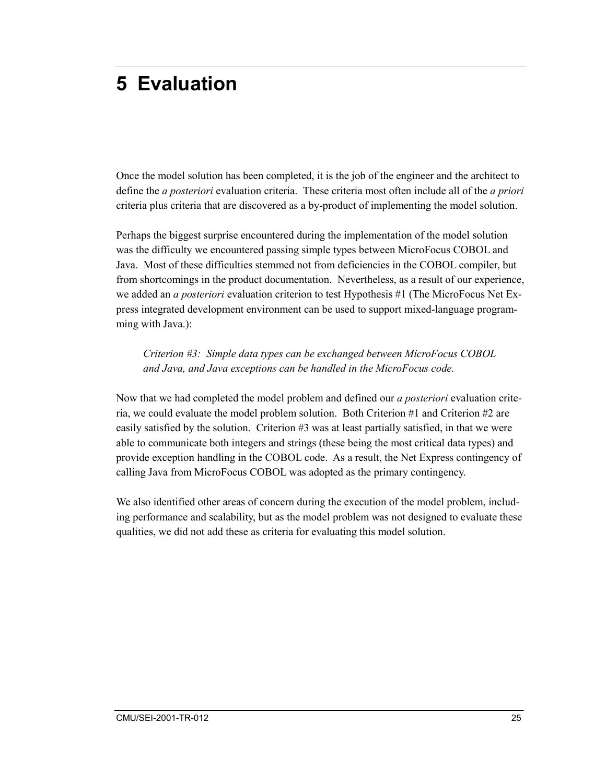# <span id="page-36-0"></span>**5 Evaluation**

Once the model solution has been completed, it is the job of the engineer and the architect to define the *a posteriori* evaluation criteria. These criteria most often include all of the *a priori* criteria plus criteria that are discovered as a by-product of implementing the model solution.

Perhaps the biggest surprise encountered during the implementation of the model solution was the difficulty we encountered passing simple types between MicroFocus COBOL and Java. Most of these difficulties stemmed not from deficiencies in the COBOL compiler, but from shortcomings in the product documentation. Nevertheless, as a result of our experience, we added an *a posteriori* evaluation criterion to test Hypothesis #1 (The MicroFocus Net Express integrated development environment can be used to support mixed-language programming with Java.):

*Criterion #3: Simple data types can be exchanged between MicroFocus COBOL and Java, and Java exceptions can be handled in the MicroFocus code.*

Now that we had completed the model problem and defined our *a posteriori* evaluation criteria, we could evaluate the model problem solution. Both Criterion #1 and Criterion #2 are easily satisfied by the solution. Criterion #3 was at least partially satisfied, in that we were able to communicate both integers and strings (these being the most critical data types) and provide exception handling in the COBOL code. As a result, the Net Express contingency of calling Java from MicroFocus COBOL was adopted as the primary contingency.

We also identified other areas of concern during the execution of the model problem, including performance and scalability, but as the model problem was not designed to evaluate these qualities, we did not add these as criteria for evaluating this model solution.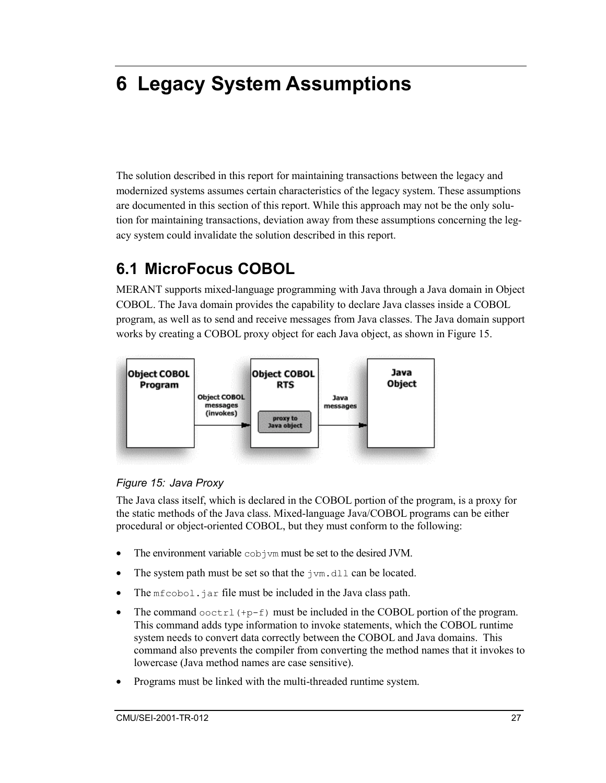# <span id="page-38-0"></span>**6 Legacy System Assumptions**

The solution described in this report for maintaining transactions between the legacy and modernized systems assumes certain characteristics of the legacy system. These assumptions are documented in this section of this report. While this approach may not be the only solution for maintaining transactions, deviation away from these assumptions concerning the legacy system could invalidate the solution described in this report.

### <span id="page-38-1"></span>**6.1 MicroFocus COBOL**

MERANT supports mixed-language programming with Java through a Java domain in Object COBOL. The Java domain provides the capability to declare Java classes inside a COBOL program, as well as to send and receive messages from Java classes. The Java domain support works by creating a COBOL proxy object for each Java object, as shown in [Figure 15.](#page-38-2)

<span id="page-38-2"></span>

#### *Figure 15: Java Proxy*

The Java class itself, which is declared in the COBOL portion of the program, is a proxy for the static methods of the Java class. Mixed-language Java/COBOL programs can be either procedural or object-oriented COBOL, but they must conform to the following:

- The environment variable cobjum must be set to the desired JVM.
- The system path must be set so that the  $jvm$ .dll can be located.
- The mfcobol.jar file must be included in the Java class path.
- The command  $\text{octrl}(+p-f)$  must be included in the COBOL portion of the program. This command adds type information to invoke statements, which the COBOL runtime system needs to convert data correctly between the COBOL and Java domains. This command also prevents the compiler from converting the method names that it invokes to lowercase (Java method names are case sensitive).
- Programs must be linked with the multi-threaded runtime system.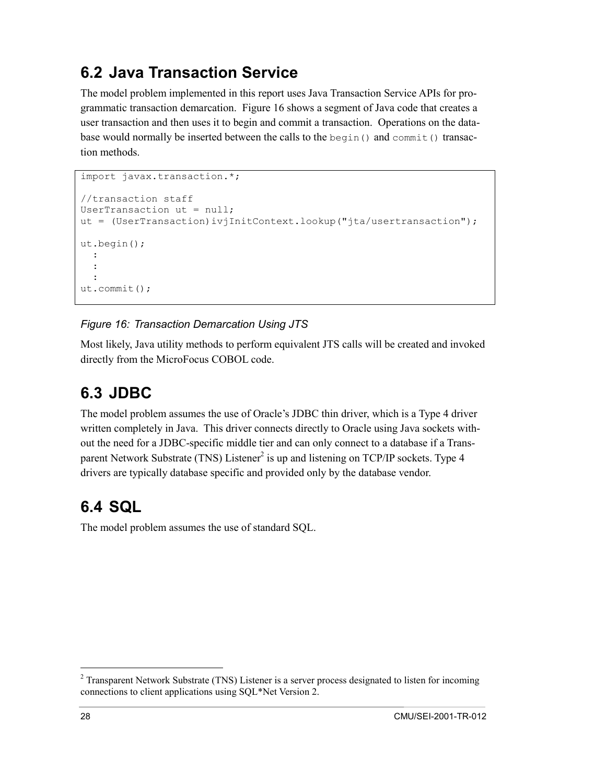# <span id="page-39-0"></span>**6.2 Java Transaction Service**

The model problem implemented in this report uses Java Transaction Service APIs for programmatic transaction demarcation. [Figure 16](#page-39-3) shows a segment of Java code that creates a user transaction and then uses it to begin and commit a transaction. Operations on the database would normally be inserted between the calls to the begin() and commit() transaction methods.

```
import javax.transaction.*;
//transaction staff
UserTransaction ut = null;ut = (UserTransaction)ivjInitContext.lookup("jta/usertransaction");
ut.begin();
   :
 :
\mathbb{R}^2ut.commit();
```
#### <span id="page-39-3"></span>*Figure 16: Transaction Demarcation Using JTS*

Most likely, Java utility methods to perform equivalent JTS calls will be created and invoked directly from the MicroFocus COBOL code.

# <span id="page-39-1"></span>**6.3 JDBC**

The model problem assumes the use of Oracle's JDBC thin driver, which is a Type 4 driver written completely in Java. This driver connects directly to Oracle using Java sockets without the need for a JDBC-specific middle tier and can only connect to a database if a Transparent Network Substrate (TNS) Listener<sup>2</sup> is up and listening on TCP/IP sockets. Type 4 drivers are typically database specific and provided only by the database vendor.

### <span id="page-39-2"></span>**6.4 SQL**

The model problem assumes the use of standard SQL.

1

<span id="page-39-4"></span><sup>&</sup>lt;sup>2</sup> Transparent Network Substrate (TNS) Listener is a server process designated to listen for incoming connections to client applications using SQL\*Net Version 2.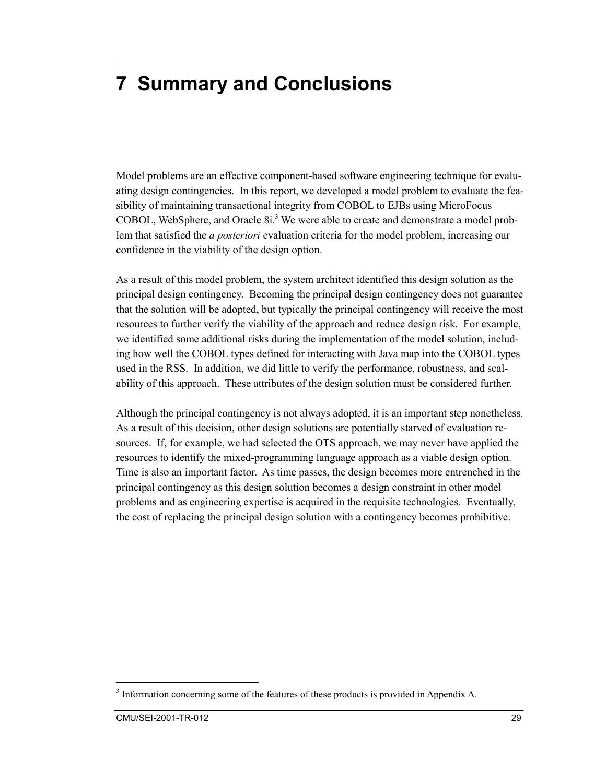# <span id="page-40-0"></span>**7 Summary and Conclusions**

Model problems are an effective component-based software engineering technique for evaluating design contingencies. In this report, we developed a model problem to evaluate the feasibility of maintaining transactional integrity from COBOL to EJBs using MicroFocus COBOL, WebSphere, and Oracle 8i.<sup>3</sup> We were able to create and demonstrate a model problem that satisfied the *a posteriori* evaluation criteria for the model problem, increasing our confidence in the viability of the design option.

As a result of this model problem, the system architect identified this design solution as the principal design contingency. Becoming the principal design contingency does not guarantee that the solution will be adopted, but typically the principal contingency will receive the most resources to further verify the viability of the approach and reduce design risk. For example, we identified some additional risks during the implementation of the model solution, including how well the COBOL types defined for interacting with Java map into the COBOL types used in the RSS. In addition, we did little to verify the performance, robustness, and scalability of this approach. These attributes of the design solution must be considered further.

Although the principal contingency is not always adopted, it is an important step nonetheless. As a result of this decision, other design solutions are potentially starved of evaluation resources. If, for example, we had selected the OTS approach, we may never have applied the resources to identify the mixed-programming language approach as a viable design option. Time is also an important factor. As time passes, the design becomes more entrenched in the principal contingency as this design solution becomes a design constraint in other model problems and as engineering expertise is acquired in the requisite technologies. Eventually, the cost of replacing the principal design solution with a contingency becomes prohibitive.

<u>.</u>

<span id="page-40-1"></span> $3$  Information concerning some of the features of these products is provided in Appendix A.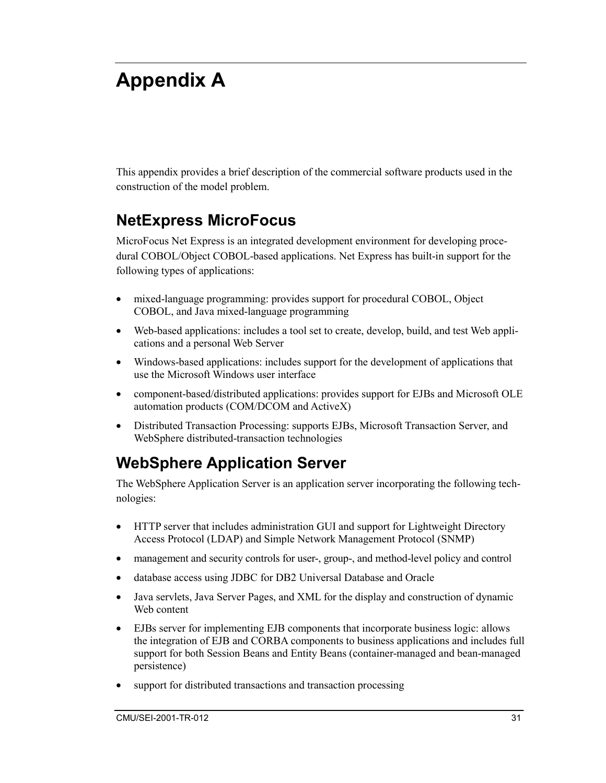# <span id="page-42-0"></span>**Appendix A**

This appendix provides a brief description of the commercial software products used in the construction of the model problem.

### **NetExpress MicroFocus**

MicroFocus Net Express is an integrated development environment for developing procedural COBOL/Object COBOL-based applications. Net Express has built-in support for the following types of applications:

- mixed-language programming: provides support for procedural COBOL, Object COBOL, and Java mixed-language programming
- Web-based applications: includes a tool set to create, develop, build, and test Web applications and a personal Web Server
- Windows-based applications: includes support for the development of applications that use the Microsoft Windows user interface
- component-based/distributed applications: provides support for EJBs and Microsoft OLE automation products (COM/DCOM and ActiveX)
- Distributed Transaction Processing: supports EJBs, Microsoft Transaction Server, and WebSphere distributed-transaction technologies

### **WebSphere Application Server**

The WebSphere Application Server is an application server incorporating the following technologies:

- HTTP server that includes administration GUI and support for Lightweight Directory Access Protocol (LDAP) and Simple Network Management Protocol (SNMP)
- management and security controls for user-, group-, and method-level policy and control
- database access using JDBC for DB2 Universal Database and Oracle
- Java servlets, Java Server Pages, and XML for the display and construction of dynamic Web content
- EJBs server for implementing EJB components that incorporate business logic: allows the integration of EJB and CORBA components to business applications and includes full support for both Session Beans and Entity Beans (container-managed and bean-managed persistence)
- support for distributed transactions and transaction processing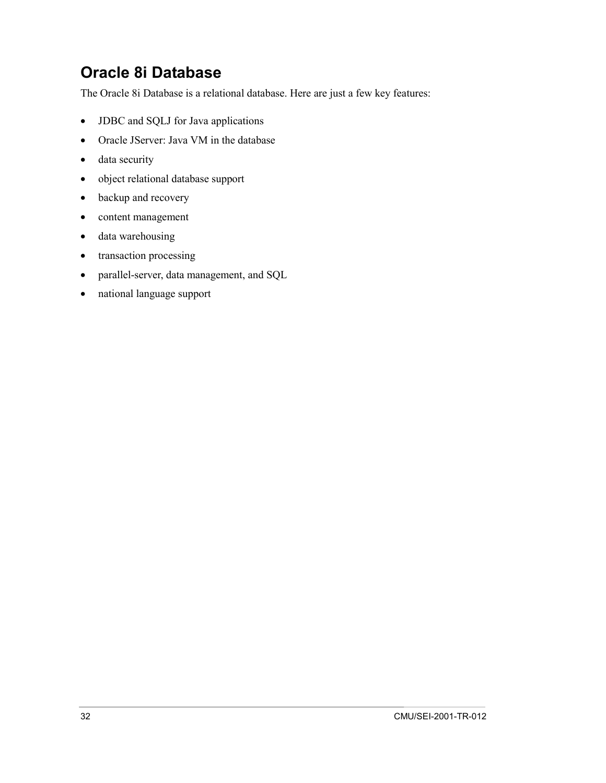### **Oracle 8i Database**

The Oracle 8i Database is a relational database. Here are just a few key features:

- JDBC and SQLJ for Java applications
- Oracle JServer: Java VM in the database
- data security
- object relational database support
- backup and recovery
- content management
- data warehousing
- transaction processing
- parallel-server, data management, and SQL
- national language support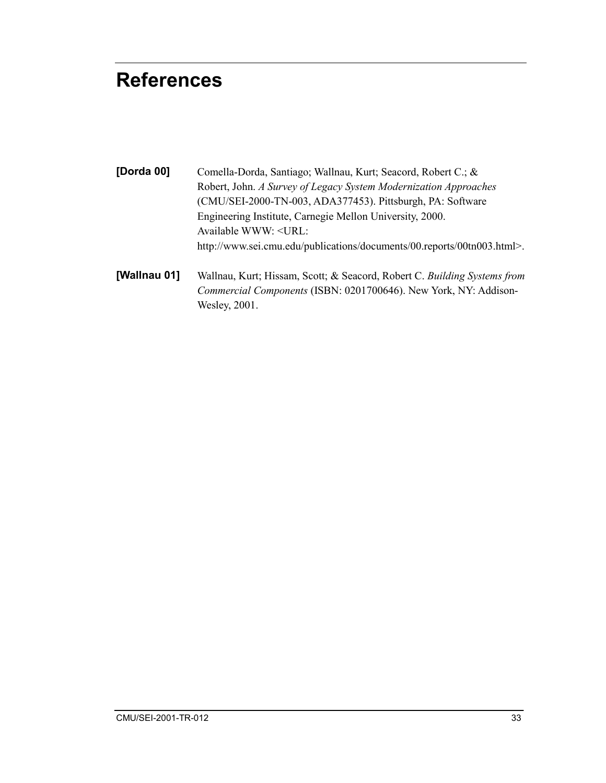# <span id="page-44-0"></span>**References**

- **[Dorda 00]** Comella-Dorda, Santiago; Wallnau, Kurt; Seacord, Robert C.; & Robert, John. *A Survey of Legacy System Modernization Approaches* (CMU/SEI-2000-TN-003, ADA377453). Pittsburgh, PA: Software Engineering Institute, Carnegie Mellon University, 2000. Available WWW: <URL: http://www.sei.cmu.edu/publications/documents/00.reports/00tn003.html>.
- **[Wallnau 01]** Wallnau, Kurt; Hissam, Scott; & Seacord, Robert C. *Building Systems from Commercial Components* (ISBN: 0201700646). New York, NY: Addison-Wesley, 2001.